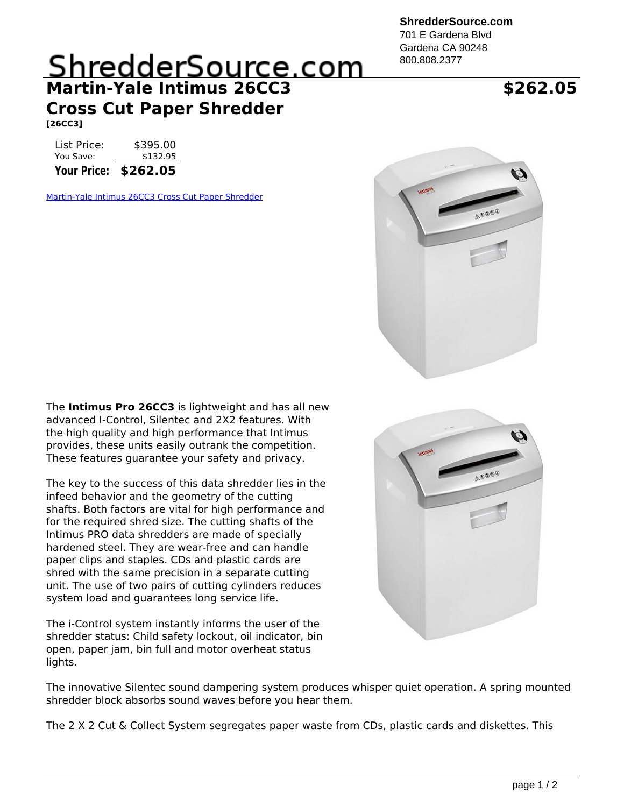**ShredderSource.com**

701 E Gardena Blvd Gardena CA 90248 800.808.2377

## ShredderSource.com **Martin-Yale Intimus 26CC3 Cross Cut Paper Shredder**

**[26CC3]**

List Price: \$395.00 You Save: \$132.95

**Your Price: \$262.05**

[Martin-Yale Intimus 26CC3 Cross Cut Paper Shredder](https://www.shreddersource.com/product_info.php?cPath=1&products_id=1218)



The **Intimus Pro 26CC3** is lightweight and has all new advanced I-Control, Silentec and 2X2 features. With the high quality and high performance that Intimus provides, these units easily outrank the competition. These features guarantee your safety and privacy.

The key to the success of this data shredder lies in the infeed behavior and the geometry of the cutting shafts. Both factors are vital for high performance and for the required shred size. The cutting shafts of the Intimus PRO data shredders are made of specially hardened steel. They are wear-free and can handle paper clips and staples. CDs and plastic cards are shred with the same precision in a separate cutting unit. The use of two pairs of cutting cylinders reduces system load and guarantees long service life.

The i-Control system instantly informs the user of the shredder status: Child safety lockout, oil indicator, bin open, paper jam, bin full and motor overheat status lights.



The innovative Silentec sound dampering system produces whisper quiet operation. A spring mounted shredder block absorbs sound waves before you hear them.

The 2 X 2 Cut & Collect System segregates paper waste from CDs, plastic cards and diskettes. This